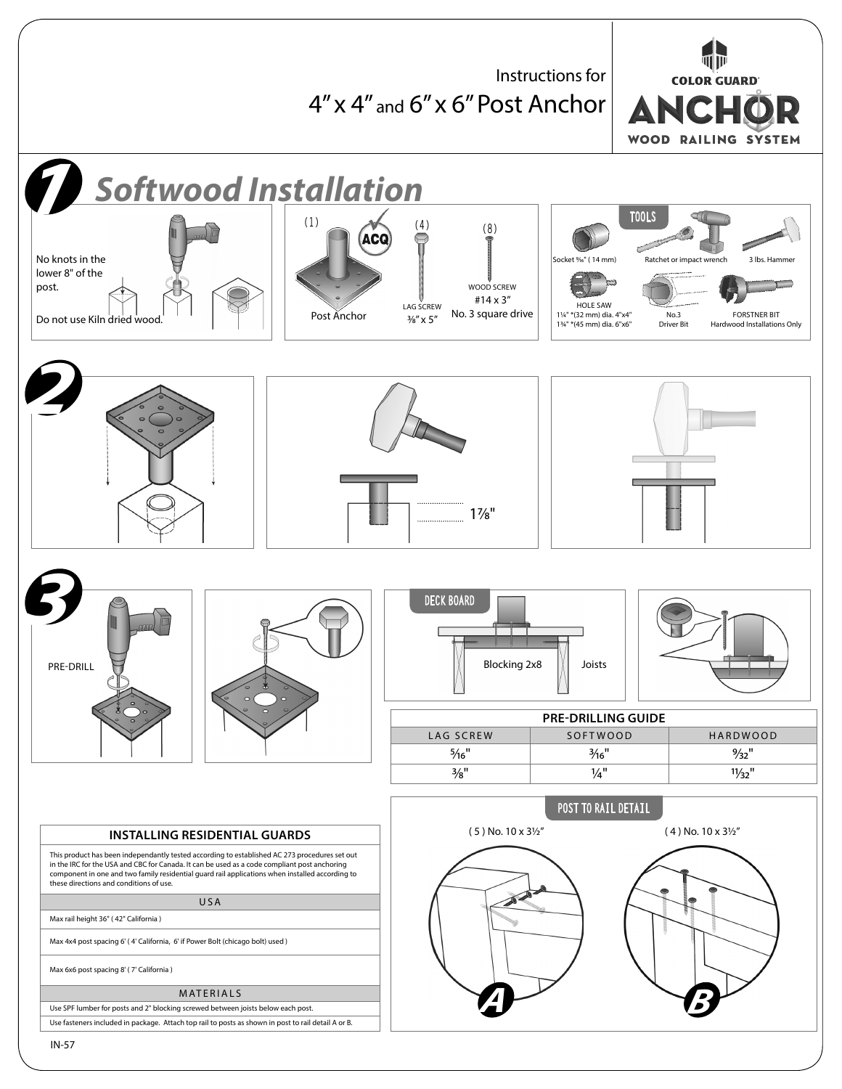呵顶 Instructions for **COLOR GUARD** 4" x 4" and 6" x 6" Post Anchor ANCHO **WOOD RAILING SYSTEM** *1 Softwood Installation* **TOOLS (1) (4) (8)** No knots in the 31bs. Hammer and 31bs. Hammer and 31bs. Hammer and 31bs. Hammer and 31bs. Hammer and 31bs. Hammer Ratchet or impact w lower 8" of the post. WOOD SCREW #14 x 3" LAG SCREW HOLE SAW Do not use Kiln dried wood. Post Anchor No. 3 square drive 11/4" \*(32 mm) dia. 4"x4" No.3 FORSTNER BIT 3/8" x 5" 13/4" \*(45 mm) dia. 6"x6" Hardwood Installations Only Driver Bit *2* 17/8" **3 1 1 1 1 1 1 DECK BOARD** PRE-DRILL  $\begin{bmatrix} 1 & 1 \end{bmatrix}$   $\begin{bmatrix} 1 & 1 \end{bmatrix}$  Blocking 2x8  $\begin{bmatrix} 1 \end{bmatrix}$  Joists **PRE-DRILLING GUIDE** LAG SCREW SOFTWOOD HARDWOOD 5/16" 3/16" 9/32"  $\frac{3}{8}$ " 1/<sub>32</sub>" 1/<sub>32</sub>" **POST TO RAIL DETAIL**  $(5)$  No. 10 x 3<sup>1</sup>/<sub>2</sub>" (4) No. 10 x 3<sup>1</sup>/<sub>2</sub>" **INSTALLING RESIDENTIAL GUARDS** This product has been independantly tested according to established AC 273 procedures set out in the IRC for the USA and CBC for Canada. It can be used as a code compliant post anchoring component in one and two family residential guard rail applications when installed according to these directions and conditions of use. USA Max rail height 36" ( 42" California ) Max 4x4 post spacing 6' ( 4' California, 6' if Power Bolt (chicago bolt) used ) Max 6x6 post spacing 8' ( 7' California ) MATERIALS *A B*Use SPF lumber for posts and 2" blocking screwed between joists below each post. Use fasteners included in package. Attach top rail to posts as shown in post to rail detail A or B.